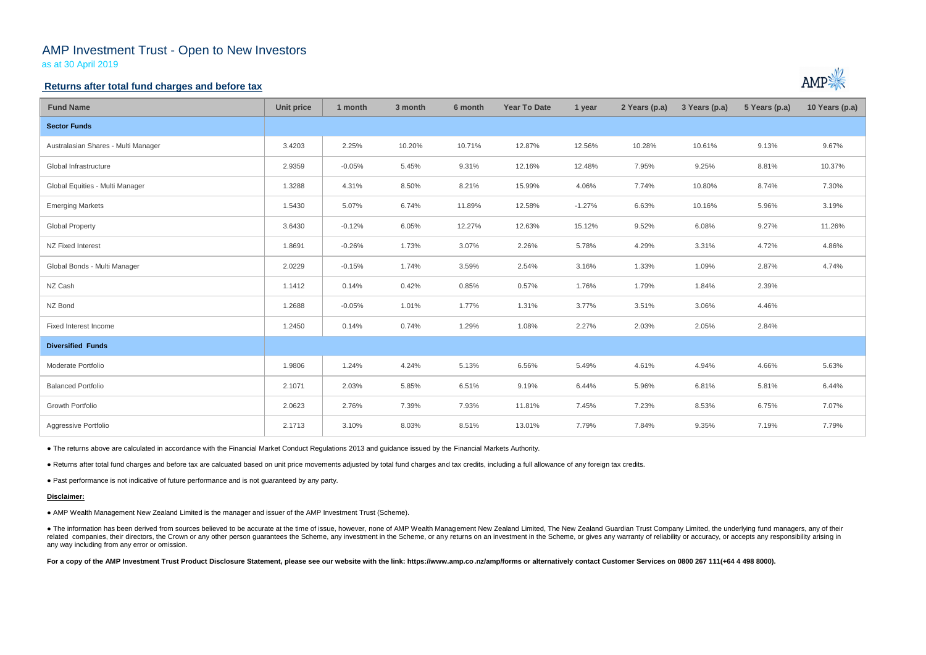# AMP Investment Trust - Open to New Investors

as at 30 April 2019

### **Returns after total fund charges and before tax**

| <b>Fund Name</b>                    | <b>Unit price</b> | 1 month  | 3 month | 6 month | <b>Year To Date</b> | 1 year   | 2 Years (p.a) | 3 Years (p.a) | 5 Years (p.a) | 10 Years (p.a) |
|-------------------------------------|-------------------|----------|---------|---------|---------------------|----------|---------------|---------------|---------------|----------------|
| <b>Sector Funds</b>                 |                   |          |         |         |                     |          |               |               |               |                |
| Australasian Shares - Multi Manager | 3.4203            | 2.25%    | 10.20%  | 10.71%  | 12.87%              | 12.56%   | 10.28%        | 10.61%        | 9.13%         | 9.67%          |
| Global Infrastructure               | 2.9359            | $-0.05%$ | 5.45%   | 9.31%   | 12.16%              | 12.48%   | 7.95%         | 9.25%         | 8.81%         | 10.37%         |
| Global Equities - Multi Manager     | 1.3288            | 4.31%    | 8.50%   | 8.21%   | 15.99%              | 4.06%    | 7.74%         | 10.80%        | 8.74%         | 7.30%          |
| <b>Emerging Markets</b>             | 1.5430            | 5.07%    | 6.74%   | 11.89%  | 12.58%              | $-1.27%$ | 6.63%         | 10.16%        | 5.96%         | 3.19%          |
| <b>Global Property</b>              | 3.6430            | $-0.12%$ | 6.05%   | 12.27%  | 12.63%              | 15.12%   | 9.52%         | 6.08%         | 9.27%         | 11.26%         |
| NZ Fixed Interest                   | 1.8691            | $-0.26%$ | 1.73%   | 3.07%   | 2.26%               | 5.78%    | 4.29%         | 3.31%         | 4.72%         | 4.86%          |
| Global Bonds - Multi Manager        | 2.0229            | $-0.15%$ | 1.74%   | 3.59%   | 2.54%               | 3.16%    | 1.33%         | 1.09%         | 2.87%         | 4.74%          |
| NZ Cash                             | 1.1412            | 0.14%    | 0.42%   | 0.85%   | 0.57%               | 1.76%    | 1.79%         | 1.84%         | 2.39%         |                |
| NZ Bond                             | 1.2688            | $-0.05%$ | 1.01%   | 1.77%   | 1.31%               | 3.77%    | 3.51%         | 3.06%         | 4.46%         |                |
| Fixed Interest Income               | 1.2450            | 0.14%    | 0.74%   | 1.29%   | 1.08%               | 2.27%    | 2.03%         | 2.05%         | 2.84%         |                |
| <b>Diversified Funds</b>            |                   |          |         |         |                     |          |               |               |               |                |
| Moderate Portfolio                  | 1.9806            | 1.24%    | 4.24%   | 5.13%   | 6.56%               | 5.49%    | 4.61%         | 4.94%         | 4.66%         | 5.63%          |
| <b>Balanced Portfolio</b>           | 2.1071            | 2.03%    | 5.85%   | 6.51%   | 9.19%               | 6.44%    | 5.96%         | 6.81%         | 5.81%         | 6.44%          |
| Growth Portfolio                    | 2.0623            | 2.76%    | 7.39%   | 7.93%   | 11.81%              | 7.45%    | 7.23%         | 8.53%         | 6.75%         | 7.07%          |
| Aggressive Portfolio                | 2.1713            | 3.10%    | 8.03%   | 8.51%   | 13.01%              | 7.79%    | 7.84%         | 9.35%         | 7.19%         | 7.79%          |

• The information has been derived from sources believed to be accurate at the time of issue, however, none of AMP Wealth Management New Zealand Limited, The New Zealand Guardian Trust Company Limited, the underlying fund related companies, their directors, the Crown or any other person guarantees the Scheme, any investment in the Scheme, or any returns on an investment in the Scheme, or gives any warranty of reliability or accuracy, or acc any way including from any error or omission.

For a copy of the AMP Investment Trust Product Disclosure Statement, please see our website with the link: https://www.amp.co.nz/amp/forms or alternatively contact Customer Services on 0800 267 111(+64 4 498 8000).



● The returns above are calculated in accordance with the Financial Market Conduct Regulations 2013 and guidance issued by the Financial Markets Authority.

● Returns after total fund charges and before tax are calcuated based on unit price movements adjusted by total fund charges and tax credits, including a full allowance of any foreign tax credits.

● Past performance is not indicative of future performance and is not guaranteed by any party.

#### **Disclaimer:**

● AMP Wealth Management New Zealand Limited is the manager and issuer of the AMP Investment Trust (Scheme).